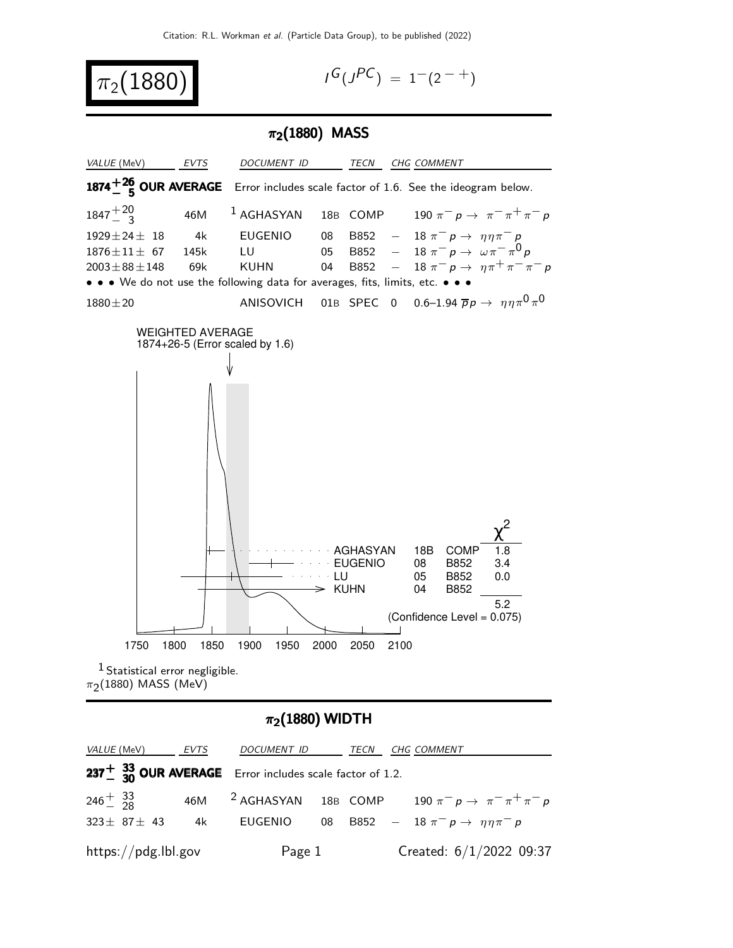

$$
I^G(J^{PC}) = 1^-(2^{-+})
$$

## $\pi_2(1880)$  MASS



## $\pi_2(1880)$  WIDTH

| <i>VALUE</i> (MeV) EVTS                                            | <i>DOCUMENT ID</i> | TECN | CHG COMMENT                                                     |
|--------------------------------------------------------------------|--------------------|------|-----------------------------------------------------------------|
| 237 $\frac{1}{30}$ OUR AVERAGE Error includes scale factor of 1.2. |                    |      |                                                                 |
| $246 \frac{+}{2} 33$                                               |                    |      | 46M $^2$ AGHASYAN 18B COMP 190 $\pi^ p \to \pi^- \pi^+ \pi^- p$ |
| $323 \pm 87 \pm 43$                                                | 4k EUGENIO         |      | 08 B852 - 18 $\pi^- p \to \eta \eta \pi^- p$                    |
| $\frac{https://pdg.1b1.gov}{%$                                     | Page 1             |      | Created: $6/1/2022$ 09:37                                       |